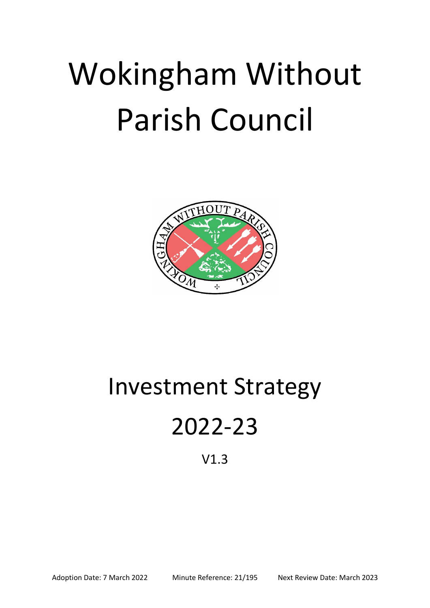# Wokingham Without Parish Council



## Investment Strategy

## 2022-23

### V1.3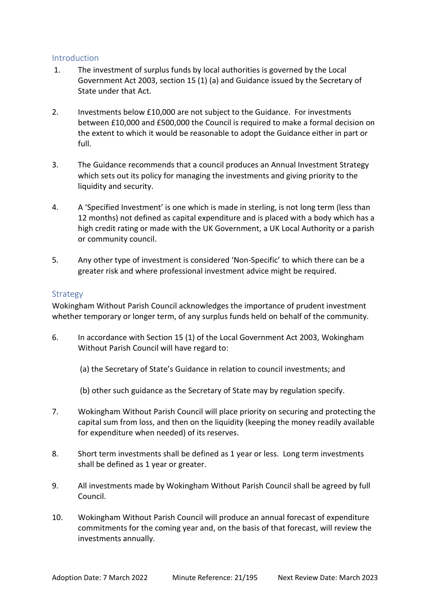#### Introduction

- 1. The investment of surplus funds by local authorities is governed by the Local Government Act 2003, section 15 (1) (a) and Guidance issued by the Secretary of State under that Act.
- 2. Investments below £10,000 are not subject to the Guidance. For investments between £10,000 and £500,000 the Council is required to make a formal decision on the extent to which it would be reasonable to adopt the Guidance either in part or full.
- 3. The Guidance recommends that a council produces an Annual Investment Strategy which sets out its policy for managing the investments and giving priority to the liquidity and security.
- 4. A 'Specified Investment' is one which is made in sterling, is not long term (less than 12 months) not defined as capital expenditure and is placed with a body which has a high credit rating or made with the UK Government, a UK Local Authority or a parish or community council.
- 5. Any other type of investment is considered 'Non-Specific' to which there can be a greater risk and where professional investment advice might be required.

### Strategy

Wokingham Without Parish Council acknowledges the importance of prudent investment whether temporary or longer term, of any surplus funds held on behalf of the community.

- 6. In accordance with Section 15 (1) of the Local Government Act 2003, Wokingham Without Parish Council will have regard to:
	- (a) the Secretary of State's Guidance in relation to council investments; and
	- (b) other such guidance as the Secretary of State may by regulation specify.
- 7. Wokingham Without Parish Council will place priority on securing and protecting the capital sum from loss, and then on the liquidity (keeping the money readily available for expenditure when needed) of its reserves.
- 8. Short term investments shall be defined as 1 year or less. Long term investments shall be defined as 1 year or greater.
- 9. All investments made by Wokingham Without Parish Council shall be agreed by full Council.
- 10. Wokingham Without Parish Council will produce an annual forecast of expenditure commitments for the coming year and, on the basis of that forecast, will review the investments annually.